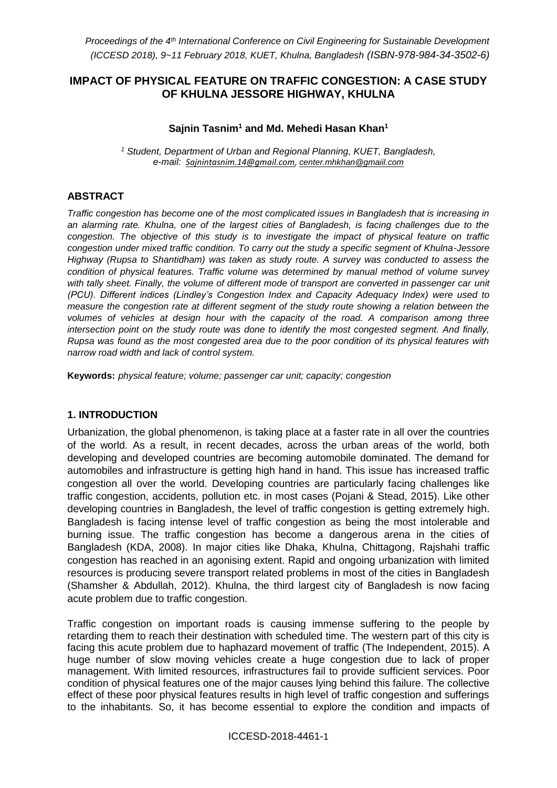### **IMPACT OF PHYSICAL FEATURE ON TRAFFIC CONGESTION: A CASE STUDY OF KHULNA JESSORE HIGHWAY, KHULNA**

### **Sajnin Tasnim<sup>1</sup> and Md. Mehedi Hasan Khan<sup>1</sup>**

*<sup>1</sup> Student, Department of Urban and Regional Planning, KUET, Bangladesh, e-mail: [Sajnintasnim.14@gmail.com,](mailto:Sajnintasnim.14@gmail.com) [center.mhkhan@gmaiil.com](mailto:center.mhkhan@gmaiil.com)*

### **ABSTRACT**

*Traffic congestion has become one of the most complicated issues in Bangladesh that is increasing in an alarming rate. Khulna, one of the largest cities of Bangladesh, is facing challenges due to the congestion. The objective of this study is to investigate the impact of physical feature on traffic congestion under mixed traffic condition. To carry out the study a specific segment of Khulna-Jessore Highway (Rupsa to Shantidham) was taken as study route. A survey was conducted to assess the condition of physical features. Traffic volume was determined by manual method of volume survey with tally sheet. Finally, the volume of different mode of transport are converted in passenger car unit (PCU). Different indices (Lindley's Congestion Index and Capacity Adequacy Index) were used to measure the congestion rate at different segment of the study route showing a relation between the volumes of vehicles at design hour with the capacity of the road. A comparison among three intersection point on the study route was done to identify the most congested segment. And finally, Rupsa was found as the most congested area due to the poor condition of its physical features with narrow road width and lack of control system.*

**Keywords:** *physical feature; volume; passenger car unit; capacity; congestion*

### **1. INTRODUCTION**

Urbanization, the global phenomenon, is taking place at a faster rate in all over the countries of the world. As a result, in recent decades, across the urban areas of the world, both developing and developed countries are becoming automobile dominated. The demand for automobiles and infrastructure is getting high hand in hand. This issue has increased traffic congestion all over the world. Developing countries are particularly facing challenges like traffic congestion, accidents, pollution etc. in most cases (Pojani & Stead, 2015). Like other developing countries in Bangladesh, the level of traffic congestion is getting extremely high. Bangladesh is facing intense level of traffic congestion as being the most intolerable and burning issue. The traffic congestion has become a dangerous arena in the cities of Bangladesh (KDA, 2008). In major cities like Dhaka, Khulna, Chittagong, Rajshahi traffic congestion has reached in an agonising extent. Rapid and ongoing urbanization with limited resources is producing severe transport related problems in most of the cities in Bangladesh (Shamsher & Abdullah, 2012). Khulna, the third largest city of Bangladesh is now facing acute problem due to traffic congestion.

Traffic congestion on important roads is causing immense suffering to the people by retarding them to reach their destination with scheduled time. The western part of this city is facing this acute problem due to haphazard movement of traffic (The Independent, 2015). A huge number of slow moving vehicles create a huge congestion due to lack of proper management. With limited resources, infrastructures fail to provide sufficient services. Poor condition of physical features one of the major causes lying behind this failure. The collective effect of these poor physical features results in high level of traffic congestion and sufferings to the inhabitants. So, it has become essential to explore the condition and impacts of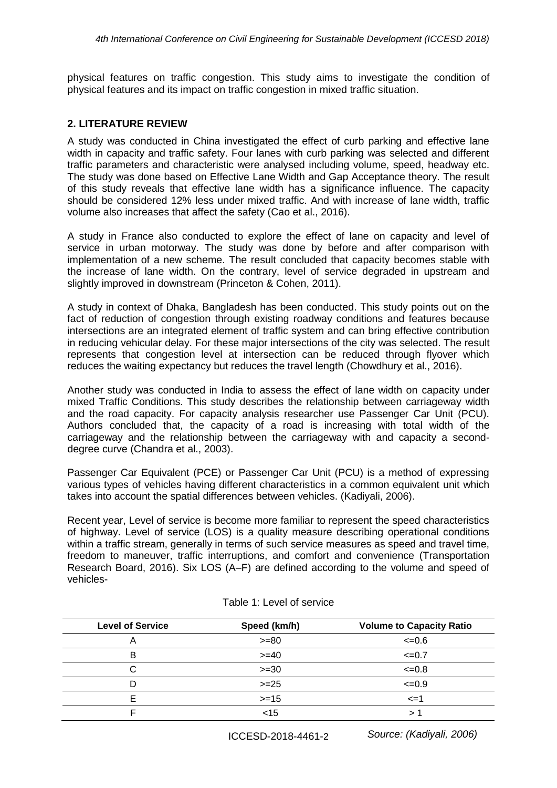physical features on traffic congestion. This study aims to investigate the condition of physical features and its impact on traffic congestion in mixed traffic situation.

#### **2. LITERATURE REVIEW**

A study was conducted in China investigated the effect of curb parking and effective lane width in capacity and traffic safety. Four lanes with curb parking was selected and different traffic parameters and characteristic were analysed including volume, speed, headway etc. The study was done based on Effective Lane Width and Gap Acceptance theory. The result of this study reveals that effective lane width has a significance influence. The capacity should be considered 12% less under mixed traffic. And with increase of lane width, traffic volume also increases that affect the safety (Cao et al., 2016).

A study in France also conducted to explore the effect of lane on capacity and level of service in urban motorway. The study was done by before and after comparison with implementation of a new scheme. The result concluded that capacity becomes stable with the increase of lane width. On the contrary, level of service degraded in upstream and slightly improved in downstream (Princeton & Cohen, 2011).

A study in context of Dhaka, Bangladesh has been conducted. This study points out on the fact of reduction of congestion through existing roadway conditions and features because intersections are an integrated element of traffic system and can bring effective contribution in reducing vehicular delay. For these major intersections of the city was selected. The result represents that congestion level at intersection can be reduced through flyover which reduces the waiting expectancy but reduces the travel length (Chowdhury et al., 2016).

Another study was conducted in India to assess the effect of lane width on capacity under mixed Traffic Conditions. This study describes the relationship between carriageway width and the road capacity. For capacity analysis researcher use Passenger Car Unit (PCU). Authors concluded that, the capacity of a road is increasing with total width of the carriageway and the relationship between the carriageway with and capacity a seconddegree curve (Chandra et al., 2003).

Passenger Car Equivalent (PCE) or Passenger Car Unit (PCU) is a method of expressing various types of vehicles having different characteristics in a common equivalent unit which takes into account the spatial differences between vehicles. (Kadiyali, 2006).

Recent year, Level of service is become more familiar to represent the speed characteristics of highway. Level of service (LOS) is a quality measure describing operational conditions within a traffic stream, generally in terms of such service measures as speed and travel time, freedom to maneuver, traffic interruptions, and comfort and convenience (Transportation Research Board, 2016). Six LOS (A–F) are defined according to the volume and speed of vehicles-

| <b>Level of Service</b> | Speed (km/h) | <b>Volume to Capacity Ratio</b> |
|-------------------------|--------------|---------------------------------|
| Α                       | $>= 80$      | $\leq 0.6$                      |
| в                       | $>= 40$      | $\leq 0.7$                      |
| С                       | $>=30$       | $<=0.8$                         |
| D                       | $>= 25$      | $\leq 0.9$                      |
| F                       | $>=15$       | $\leq$ =1                       |
|                         | $<$ 15       |                                 |

#### Table 1: Level of service

*Source: (Kadiyali, 2006)*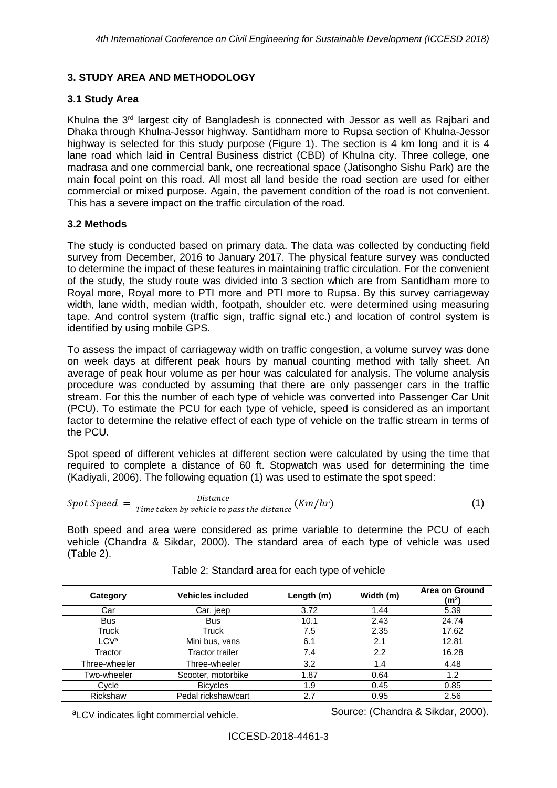# **3. STUDY AREA AND METHODOLOGY**

## **3.1 Study Area**

Khulna the 3<sup>rd</sup> largest city of Bangladesh is connected with Jessor as well as Raibari and Dhaka through Khulna-Jessor highway. Santidham more to Rupsa section of Khulna-Jessor highway is selected for this study purpose (Figure 1). The section is 4 km long and it is 4 lane road which laid in Central Business district (CBD) of Khulna city. Three college, one madrasa and one commercial bank, one recreational space (Jatisongho Sishu Park) are the main focal point on this road. All most all land beside the road section are used for either commercial or mixed purpose. Again, the pavement condition of the road is not convenient. This has a severe impact on the traffic circulation of the road.

# **3.2 Methods**

The study is conducted based on primary data. The data was collected by conducting field survey from December, 2016 to January 2017. The physical feature survey was conducted to determine the impact of these features in maintaining traffic circulation. For the convenient of the study, the study route was divided into 3 section which are from Santidham more to Royal more, Royal more to PTI more and PTI more to Rupsa. By this survey carriageway width, lane width, median width, footpath, shoulder etc. were determined using measuring tape. And control system (traffic sign, traffic signal etc.) and location of control system is identified by using mobile GPS.

To assess the impact of carriageway width on traffic congestion, a volume survey was done on week days at different peak hours by manual counting method with tally sheet. An average of peak hour volume as per hour was calculated for analysis. The volume analysis procedure was conducted by assuming that there are only passenger cars in the traffic stream. For this the number of each type of vehicle was converted into Passenger Car Unit (PCU). To estimate the PCU for each type of vehicle, speed is considered as an important factor to determine the relative effect of each type of vehicle on the traffic stream in terms of the PCU.

Spot speed of different vehicles at different section were calculated by using the time that required to complete a distance of 60 ft. Stopwatch was used for determining the time (Kadiyali, 2006). The following equation (1) was used to estimate the spot speed:

$$
Spot Speed = \frac{Distance}{Time taken by vehicle to pass the distance} (Km/hr)
$$
 (1)

Both speed and area were considered as prime variable to determine the PCU of each vehicle (Chandra & Sikdar, 2000). The standard area of each type of vehicle was used (Table 2).

| Category         | <b>Vehicles included</b> | Length (m) | Width (m) | Area on Ground<br>(m²) |
|------------------|--------------------------|------------|-----------|------------------------|
| Car              | Car, jeep                | 3.72       | 1.44      | 5.39                   |
| <b>Bus</b>       | <b>Bus</b>               | 10.1       | 2.43      | 24.74                  |
| Truck            | Truck                    | 7.5        | 2.35      | 17.62                  |
| LCV <sup>a</sup> | Mini bus, vans           | 6.1        | 2.1       | 12.81                  |
| Tractor          | Tractor trailer          | 7.4        | 2.2       | 16.28                  |
| Three-wheeler    | Three-wheeler            | 3.2        | 1.4       | 4.48                   |
| Two-wheeler      | Scooter, motorbike       | 1.87       | 0.64      | 1.2                    |
| Cycle            | <b>Bicycles</b>          | 1.9        | 0.45      | 0.85                   |
| Rickshaw         | Pedal rickshaw/cart      | 2.7        | 0.95      | 2.56                   |

Table 2: Standard area for each type of vehicle

 $a$ LCV indicates light commercial vehicle. Source: (Chandra & Sikdar, 2000).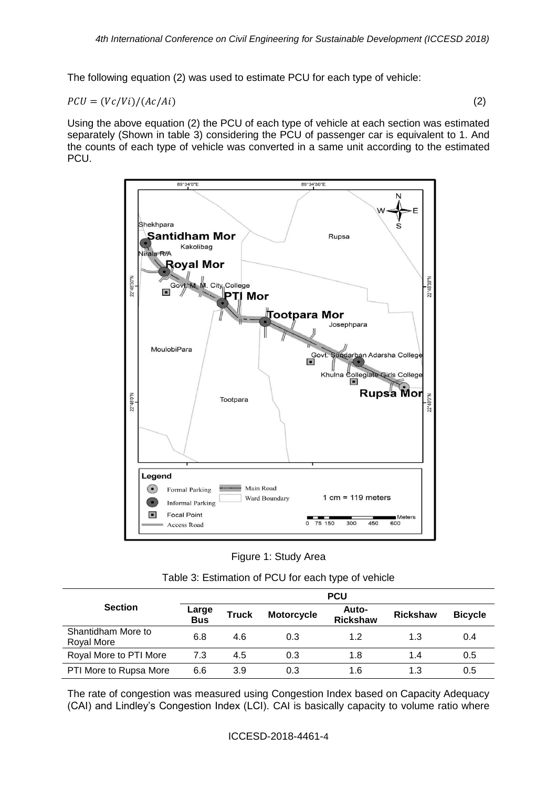The following equation (2) was used to estimate PCU for each type of vehicle:

$$
PCU = (Vc/Vi)/(Ac/Ai)
$$
 (2)

Using the above equation (2) the PCU of each type of vehicle at each section was estimated separately (Shown in table 3) considering the PCU of passenger car is equivalent to 1. And the counts of each type of vehicle was converted in a same unit according to the estimated PCU.



| Figure 1: Study Area |  |  |  |
|----------------------|--|--|--|
|----------------------|--|--|--|

| Table 3: Estimation of PCU for each type of vehicle |  |  |
|-----------------------------------------------------|--|--|
|-----------------------------------------------------|--|--|

|                                  | <b>PCU</b>          |              |                   |                          |                 |                |
|----------------------------------|---------------------|--------------|-------------------|--------------------------|-----------------|----------------|
| <b>Section</b>                   | <b>Large</b><br>Bus | <b>Truck</b> | <b>Motorcycle</b> | Auto-<br><b>Rickshaw</b> | <b>Rickshaw</b> | <b>Bicycle</b> |
| Shantidham More to<br>Royal More | 6.8                 | 4.6          | 0.3               | 1.2                      | 1.3             | 0.4            |
| Royal More to PTI More           | 7.3                 | 4.5          | 0.3               | 1.8                      | 1.4             | 0.5            |
| PTI More to Rupsa More           | 6.6                 | 3.9          | 0.3               | 1.6                      | 1.3             | 0.5            |

The rate of congestion was measured using Congestion Index based on Capacity Adequacy (CAI) and Lindley's Congestion Index (LCI). CAI is basically capacity to volume ratio where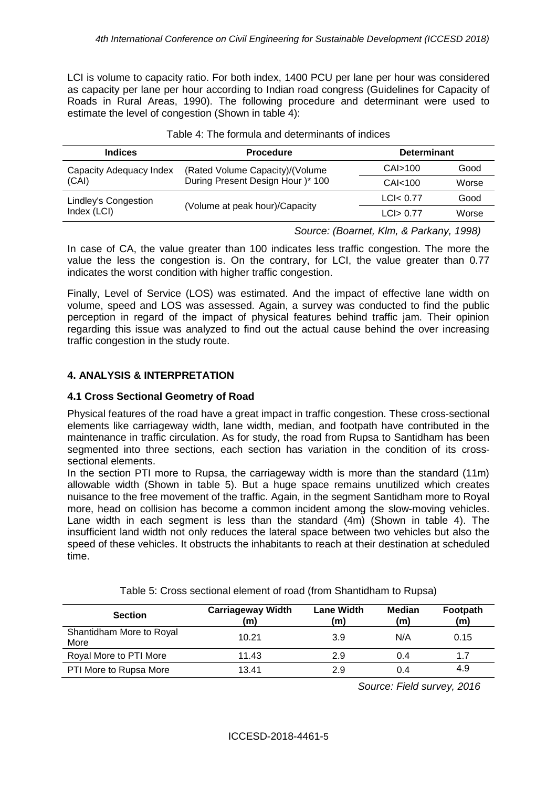LCI is volume to capacity ratio. For both index, 1400 PCU per lane per hour was considered as capacity per lane per hour according to Indian road congress (Guidelines for Capacity of Roads in Rural Areas, 1990). The following procedure and determinant were used to estimate the level of congestion (Shown in table 4):

| <b>Indices</b>          | <b>Procedure</b>                  | <b>Determinant</b>  |       |
|-------------------------|-----------------------------------|---------------------|-------|
| Capacity Adequacy Index | (Rated Volume Capacity)/(Volume   | CAI>100             | Good  |
| (CAI)                   | During Present Design Hour )* 100 | CAI <sub>100</sub>  | Worse |
| Lindley's Congestion    | (Volume at peak hour)/Capacity    | LCl <sub>0.77</sub> | Good  |
| Index (LCI)             |                                   | LCI > 0.77          | Worse |

#### Table 4: The formula and determinants of indices

*Source: (Boarnet, Klm, & Parkany, 1998)*

In case of CA, the value greater than 100 indicates less traffic congestion. The more the value the less the congestion is. On the contrary, for LCI, the value greater than 0.77 indicates the worst condition with higher traffic congestion.

Finally, Level of Service (LOS) was estimated. And the impact of effective lane width on volume, speed and LOS was assessed. Again, a survey was conducted to find the public perception in regard of the impact of physical features behind traffic jam. Their opinion regarding this issue was analyzed to find out the actual cause behind the over increasing traffic congestion in the study route.

# **4. ANALYSIS & INTERPRETATION**

### **4.1 Cross Sectional Geometry of Road**

Physical features of the road have a great impact in traffic congestion. These cross-sectional elements like carriageway width, lane width, median, and footpath have contributed in the maintenance in traffic circulation. As for study, the road from Rupsa to Santidham has been segmented into three sections, each section has variation in the condition of its crosssectional elements.

In the section PTI more to Rupsa, the carriageway width is more than the standard (11m) allowable width (Shown in table 5). But a huge space remains unutilized which creates nuisance to the free movement of the traffic. Again, in the segment Santidham more to Royal more, head on collision has become a common incident among the slow-moving vehicles. Lane width in each segment is less than the standard (4m) (Shown in table 4). The insufficient land width not only reduces the lateral space between two vehicles but also the speed of these vehicles. It obstructs the inhabitants to reach at their destination at scheduled time.

| <b>Section</b>                   | <b>Carriageway Width</b><br>(m) | <b>Lane Width</b><br>(m) | Median<br>(m) | Footpath<br>(m) |
|----------------------------------|---------------------------------|--------------------------|---------------|-----------------|
| Shantidham More to Royal<br>More | 10.21                           | 3.9                      | N/A           | 0.15            |
| Royal More to PTI More           | 11.43                           | 2.9                      | 0.4           | 1.7             |
| PTI More to Rupsa More           | 13.41                           | 2.9                      | 0.4           | 4.9             |

Table 5: Cross sectional element of road (from Shantidham to Rupsa)

*Source: Field survey, 2016*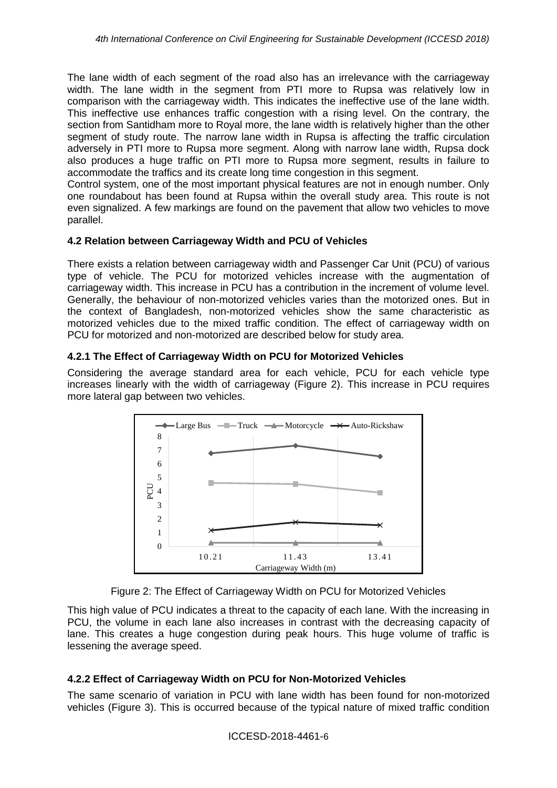The lane width of each segment of the road also has an irrelevance with the carriageway width. The lane width in the segment from PTI more to Rupsa was relatively low in comparison with the carriageway width. This indicates the ineffective use of the lane width. This ineffective use enhances traffic congestion with a rising level. On the contrary, the section from Santidham more to Royal more, the lane width is relatively higher than the other segment of study route. The narrow lane width in Rupsa is affecting the traffic circulation adversely in PTI more to Rupsa more segment. Along with narrow lane width, Rupsa dock also produces a huge traffic on PTI more to Rupsa more segment, results in failure to accommodate the traffics and its create long time congestion in this segment.

Control system, one of the most important physical features are not in enough number. Only one roundabout has been found at Rupsa within the overall study area. This route is not even signalized. A few markings are found on the pavement that allow two vehicles to move parallel.

### **4.2 Relation between Carriageway Width and PCU of Vehicles**

There exists a relation between carriageway width and Passenger Car Unit (PCU) of various type of vehicle. The PCU for motorized vehicles increase with the augmentation of carriageway width. This increase in PCU has a contribution in the increment of volume level. Generally, the behaviour of non-motorized vehicles varies than the motorized ones. But in the context of Bangladesh, non-motorized vehicles show the same characteristic as motorized vehicles due to the mixed traffic condition. The effect of carriageway width on PCU for motorized and non-motorized are described below for study area.

## **4.2.1 The Effect of Carriageway Width on PCU for Motorized Vehicles**

Considering the average standard area for each vehicle, PCU for each vehicle type increases linearly with the width of carriageway (Figure 2). This increase in PCU requires more lateral gap between two vehicles.



Figure 2: The Effect of Carriageway Width on PCU for Motorized Vehicles

This high value of PCU indicates a threat to the capacity of each lane. With the increasing in PCU, the volume in each lane also increases in contrast with the decreasing capacity of lane. This creates a huge congestion during peak hours. This huge volume of traffic is lessening the average speed.

## **4.2.2 Effect of Carriageway Width on PCU for Non-Motorized Vehicles**

The same scenario of variation in PCU with lane width has been found for non-motorized vehicles (Figure 3). This is occurred because of the typical nature of mixed traffic condition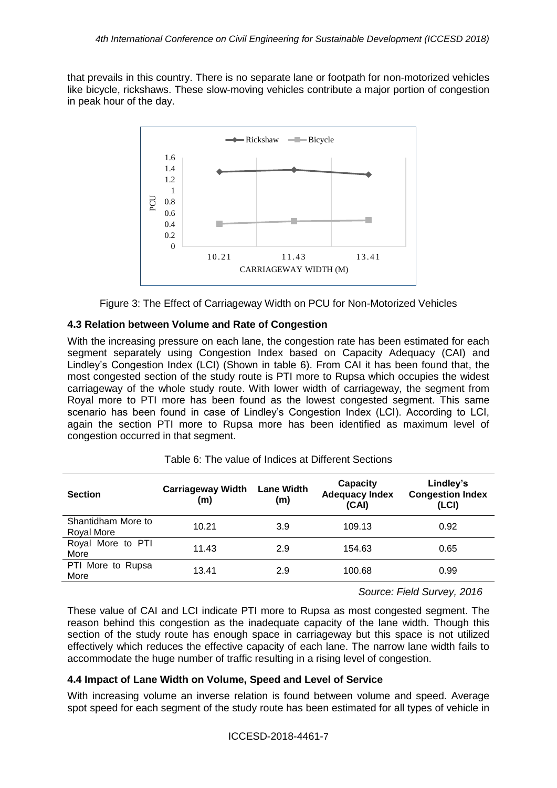that prevails in this country. There is no separate lane or footpath for non-motorized vehicles like bicycle, rickshaws. These slow-moving vehicles contribute a major portion of congestion in peak hour of the day.



Figure 3: The Effect of Carriageway Width on PCU for Non-Motorized Vehicles

## **4.3 Relation between Volume and Rate of Congestion**

With the increasing pressure on each lane, the congestion rate has been estimated for each segment separately using Congestion Index based on Capacity Adequacy (CAI) and Lindley's Congestion Index (LCI) (Shown in table 6). From CAI it has been found that, the most congested section of the study route is PTI more to Rupsa which occupies the widest carriageway of the whole study route. With lower width of carriageway, the segment from Royal more to PTI more has been found as the lowest congested segment. This same scenario has been found in case of Lindley's Congestion Index (LCI). According to LCI, again the section PTI more to Rupsa more has been identified as maximum level of congestion occurred in that segment.

| <b>Section</b>                   | <b>Carriageway Width</b><br>(m) | <b>Lane Width</b><br>(m) | <b>Capacity</b><br><b>Adequacy Index</b><br>(CAI) | Lindley's<br><b>Congestion Index</b><br>(LCI) |
|----------------------------------|---------------------------------|--------------------------|---------------------------------------------------|-----------------------------------------------|
| Shantidham More to<br>Royal More | 10.21                           | 3.9                      | 109.13                                            | 0.92                                          |
| Royal More to PTI<br>More        | 11.43                           | 2.9                      | 154.63                                            | 0.65                                          |
| PTI More to Rupsa<br>More        | 13.41                           | 2.9                      | 100.68                                            | 0.99                                          |

Table 6: The value of Indices at Different Sections

*Source: Field Survey, 2016*

These value of CAI and LCI indicate PTI more to Rupsa as most congested segment. The reason behind this congestion as the inadequate capacity of the lane width. Though this section of the study route has enough space in carriageway but this space is not utilized effectively which reduces the effective capacity of each lane. The narrow lane width fails to accommodate the huge number of traffic resulting in a rising level of congestion.

## **4.4 Impact of Lane Width on Volume, Speed and Level of Service**

With increasing volume an inverse relation is found between volume and speed. Average spot speed for each segment of the study route has been estimated for all types of vehicle in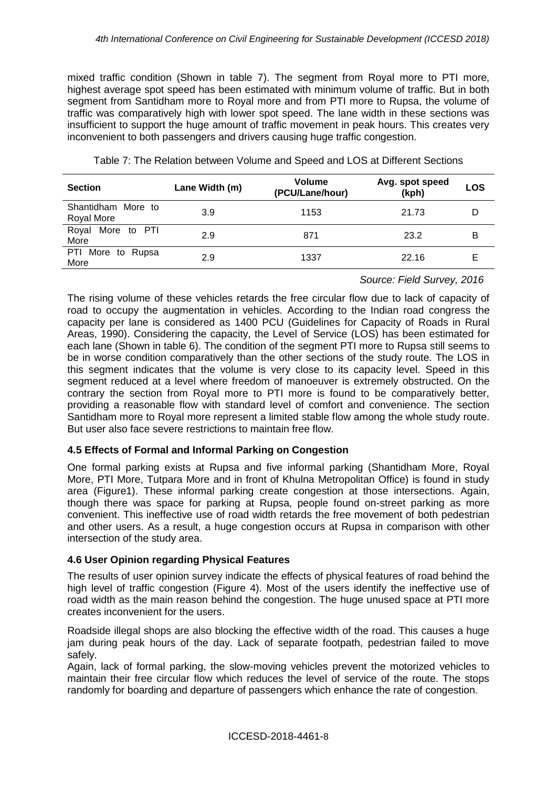mixed traffic condition (Shown in table 7). The segment from Royal more to PTI more, highest average spot speed has been estimated with minimum volume of traffic. But in both segment from Santidham more to Royal more and from PTI more to Rupsa, the volume of traffic was comparatively high with lower spot speed. The lane width in these sections was insufficient to support the huge amount of traffic movement in peak hours. This creates very inconvenient to both passengers and drivers causing huge traffic congestion.

| <b>Section</b>                   | Lane Width (m) | Volume<br>(PCU/Lane/hour) | Avg. spot speed<br>(kph) | LOS |
|----------------------------------|----------------|---------------------------|--------------------------|-----|
| Shantidham More to<br>Royal More | 3.9            | 1153                      | 21.73                    |     |
| More to PTI<br>Royal<br>More     | 2.9            | 871                       | 23.2                     | в   |
| PTI More to Rupsa<br>More        | 2.9            | 1337                      | 22.16                    |     |

Table 7: The Relation between Volume and Speed and LOS at Different Sections

*Source: Field Survey, 2016*

The rising volume of these vehicles retards the free circular flow due to lack of capacity of road to occupy the augmentation in vehicles. According to the Indian road congress the capacity per lane is considered as 1400 PCU (Guidelines for Capacity of Roads in Rural Areas, 1990). Considering the capacity, the Level of Service (LOS) has been estimated for each lane (Shown in table 6). The condition of the segment PTI more to Rupsa still seems to be in worse condition comparatively than the other sections of the study route. The LOS in this segment indicates that the volume is very close to its capacity level. Speed in this segment reduced at a level where freedom of manoeuver is extremely obstructed. On the contrary the section from Royal more to PTI more is found to be comparatively better, providing a reasonable flow with standard level of comfort and convenience. The section Santidham more to Royal more represent a limited stable flow among the whole study route. But user also face severe restrictions to maintain free flow.

## **4.5 Effects of Formal and Informal Parking on Congestion**

One formal parking exists at Rupsa and five informal parking (Shantidham More, Royal More, PTI More, Tutpara More and in front of Khulna Metropolitan Office) is found in study area (Figure1). These informal parking create congestion at those intersections. Again, though there was space for parking at Rupsa, people found on-street parking as more convenient. This ineffective use of road width retards the free movement of both pedestrian and other users. As a result, a huge congestion occurs at Rupsa in comparison with other intersection of the study area.

### **4.6 User Opinion regarding Physical Features**

The results of user opinion survey indicate the effects of physical features of road behind the high level of traffic congestion (Figure 4). Most of the users identify the ineffective use of road width as the main reason behind the congestion. The huge unused space at PTI more creates inconvenient for the users.

Roadside illegal shops are also blocking the effective width of the road. This causes a huge jam during peak hours of the day. Lack of separate footpath, pedestrian failed to move safely.

Again, lack of formal parking, the slow-moving vehicles prevent the motorized vehicles to maintain their free circular flow which reduces the level of service of the route. The stops randomly for boarding and departure of passengers which enhance the rate of congestion.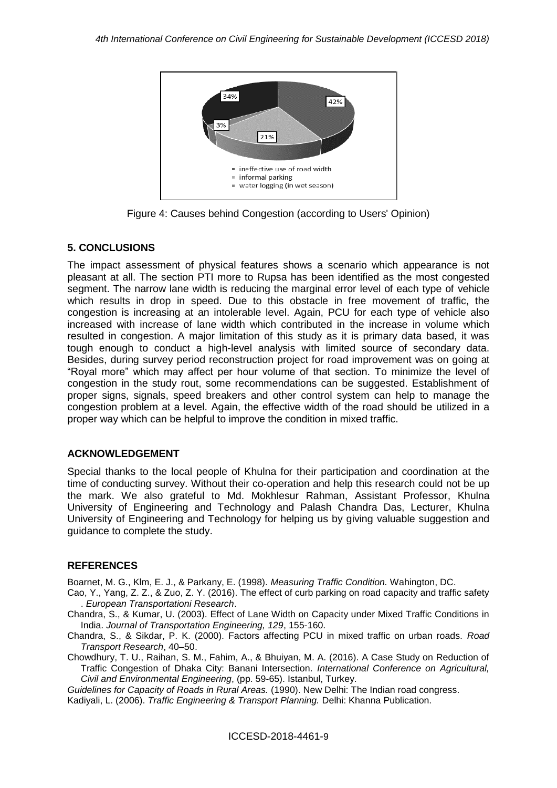

Figure 4: Causes behind Congestion (according to Users' Opinion)

## **5. CONCLUSIONS**

The impact assessment of physical features shows a scenario which appearance is not pleasant at all. The section PTI more to Rupsa has been identified as the most congested segment. The narrow lane width is reducing the marginal error level of each type of vehicle which results in drop in speed. Due to this obstacle in free movement of traffic, the congestion is increasing at an intolerable level. Again, PCU for each type of vehicle also increased with increase of lane width which contributed in the increase in volume which resulted in congestion. A major limitation of this study as it is primary data based, it was tough enough to conduct a high-level analysis with limited source of secondary data. Besides, during survey period reconstruction project for road improvement was on going at "Royal more" which may affect per hour volume of that section. To minimize the level of congestion in the study rout, some recommendations can be suggested. Establishment of proper signs, signals, speed breakers and other control system can help to manage the congestion problem at a level. Again, the effective width of the road should be utilized in a proper way which can be helpful to improve the condition in mixed traffic.

### **ACKNOWLEDGEMENT**

Special thanks to the local people of Khulna for their participation and coordination at the time of conducting survey. Without their co-operation and help this research could not be up the mark. We also grateful to Md. Mokhlesur Rahman, Assistant Professor, Khulna University of Engineering and Technology and Palash Chandra Das, Lecturer, Khulna University of Engineering and Technology for helping us by giving valuable suggestion and guidance to complete the study.

## **REFERENCES**

Boarnet, M. G., Klm, E. J., & Parkany, E. (1998). *Measuring Traffic Condition.* Wahington, DC.

- Cao, Y., Yang, Z. Z., & Zuo, Z. Y. (2016). The effect of curb parking on road capacity and traffic safety . *European Transportationi Research*.
- Chandra, S., & Kumar, U. (2003). Effect of Lane Width on Capacity under Mixed Traffic Conditions in India. *Journal of Transportation Engineering, 129*, 155-160.
- Chandra, S., & Sikdar, P. K. (2000). Factors affecting PCU in mixed traffic on urban roads. *Road Transport Research*, 40–50.
- Chowdhury, T. U., Raihan, S. M., Fahim, A., & Bhuiyan, M. A. (2016). A Case Study on Reduction of Traffic Congestion of Dhaka City: Banani Intersection. *International Conference on Agricultural, Civil and Environmental Engineering*, (pp. 59-65). Istanbul, Turkey.

*Guidelines for Capacity of Roads in Rural Areas.* (1990). New Delhi: The Indian road congress.

Kadiyali, L. (2006). *Traffic Engineering & Transport Planning.* Delhi: Khanna Publication.